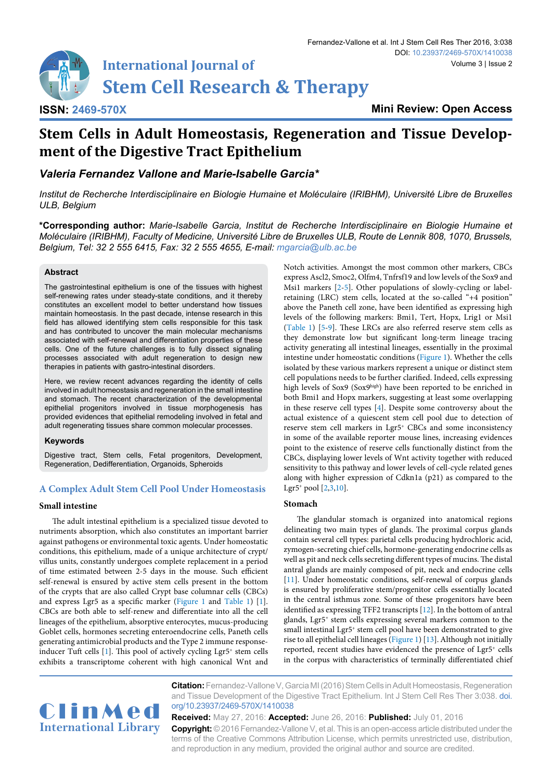**International Journal of Stem Cell Research & Therapy** 

**Mini Review: Open Access**

# **Stem Cells in Adult Homeostasis, Regeneration and Tissue Development of the Digestive Tract Epithelium**

*Valeria Fernandez Vallone and Marie-Isabelle Garcia\**

*Institut de Recherche Interdisciplinaire en Biologie Humaine et Moléculaire (IRIBHM), Université Libre de Bruxelles ULB, Belgium*

**\*Corresponding author:** *Marie-Isabelle Garcia, Institut de Recherche Interdisciplinaire en Biologie Humaine et Moléculaire (IRIBHM), Faculty of Medicine, Université Libre de Bruxelles ULB, Route de Lennik 808, 1070, Brussels, Belgium, Tel: 32 2 555 6415, Fax: 32 2 555 4655, E-mail: mgarcia@ulb.ac.be*

### **Abstract**

**ISSN: 2469-570X**

The gastrointestinal epithelium is one of the tissues with highest self-renewing rates under steady-state conditions, and it thereby constitutes an excellent model to better understand how tissues maintain homeostasis. In the past decade, intense research in this field has allowed identifying stem cells responsible for this task and has contributed to uncover the main molecular mechanisms associated with self-renewal and differentiation properties of these cells. One of the future challenges is to fully dissect signaling processes associated with adult regeneration to design new therapies in patients with gastro-intestinal disorders.

Here, we review recent advances regarding the identity of cells involved in adult homeostasis and regeneration in the small intestine and stomach. The recent characterization of the developmental epithelial progenitors involved in tissue morphogenesis has provided evidences that epithelial remodeling involved in fetal and adult regenerating tissues share common molecular processes.

### **Keywords**

Digestive tract, Stem cells, Fetal progenitors, Development, Regeneration, Dedifferentiation, Organoids, Spheroids

# **A Complex Adult Stem Cell Pool Under Homeostasis**

## **Small intestine**

The adult intestinal epithelium is a specialized tissue devoted to nutriments absorption, which also constitutes an important barrier against pathogens or environmental toxic agents. Under homeostatic conditions, this epithelium, made of a unique architecture of crypt/ villus units, constantly undergoes complete replacement in a period of time estimated between 2-5 days in the mouse. Such efficient self-renewal is ensured by active stem cells present in the bottom of the crypts that are also called Crypt base columnar cells (CBCs) and express Lgr5 as a specific marker ([Figure 1](#page-2-0) and [Table 1\)](#page-1-0) [[1\]](#page-3-9). CBCs are both able to self-renew and differentiate into all the cell lineages of the epithelium, absorptive enterocytes, mucus-producing Goblet cells, hormones secreting enteroendocrine cells, Paneth cells generating antimicrobial products and the Type 2 immune response-inducer Tuft cells [[1](#page-3-9)]. This pool of actively cycling Lgr5<sup>+</sup> stem cells exhibits a transcriptome coherent with high canonical Wnt and Notch activities. Amongst the most common other markers, CBCs express Ascl2, Smoc2, Olfm4, Tnfrsf19 and low levels of the Sox9 and Msi1 markers [[2](#page-3-0)[-5\]](#page-3-1). Other populations of slowly-cycling or labelretaining (LRC) stem cells, located at the so-called "+4 position" above the Paneth cell zone, have been identified as expressing high levels of the following markers: Bmi1, Tert, Hopx, Lrig1 or Msi1 [\(Table 1\)](#page-1-0) [\[5-](#page-3-1)[9](#page-3-2)]. These LRCs are also referred reserve stem cells as they demonstrate low but significant long-term lineage tracing activity generating all intestinal lineages, essentially in the proximal intestine under homeostatic conditions ([Figure 1](#page-2-0)). Whether the cells isolated by these various markers represent a unique or distinct stem cell populations needs to be further clarified. Indeed, cells expressing high levels of Sox9 (Sox9high) have been reported to be enriched in both Bmi1 and Hopx markers, suggesting at least some overlapping in these reserve cell types [[4](#page-3-3)]. Despite some controversy about the actual existence of a quiescent stem cell pool due to detection of reserve stem cell markers in Lgr5+ CBCs and some inconsistency in some of the available reporter mouse lines, increasing evidences point to the existence of reserve cells functionally distinct from the CBCs, displaying lower levels of Wnt activity together with reduced sensitivity to this pathway and lower levels of cell-cycle related genes along with higher expression of Cdkn1a (p21) as compared to the Lgr5+ pool  $[2,3,10]$  $[2,3,10]$  $[2,3,10]$ .

## **Stomach**

The glandular stomach is organized into anatomical regions delineating two main types of glands. The proximal corpus glands contain several cell types: parietal cells producing hydrochloric acid, zymogen-secreting chief cells, hormone-generating endocrine cells as well as pit and neck cells secreting different types of mucins. The distal antral glands are mainly composed of pit, neck and endocrine cells [\[11\]](#page-3-6). Under homeostatic conditions, self-renewal of corpus glands is ensured by proliferative stem/progenitor cells essentially located in the central isthmus zone. Some of these progenitors have been identified as expressing TFF2 transcripts [[12](#page-3-7)]. In the bottom of antral glands, Lgr5+ stem cells expressing several markers common to the small intestinal Lgr5<sup>+</sup> stem cell pool have been demonstrated to give rise to all epithelial cell lineages [\(Figure 1\)](#page-2-0) [[13](#page-3-8)]. Although not initially reported, recent studies have evidenced the presence of Lgr5+ cells in the corpus with characteristics of terminally differentiated chief



**Citation:** Fernandez-Vallone V, Garcia MI (2016) Stem Cells in Adult Homeostasis, Regeneration and Tissue Development of the Digestive Tract Epithelium. Int J Stem Cell Res Ther 3:038. [doi.](https://doi.org/10.23937/2469-570X/1410038) [org/10.23937/2469-570X/1410038](https://doi.org/10.23937/2469-570X/1410038)

**Received:** May 27, 2016: **Accepted:** June 26, 2016: **Published:** July 01, 2016 **Copyright:** © 2016 Fernandez-Vallone V, et al. This is an open-access article distributed under the terms of the Creative Commons Attribution License, which permits unrestricted use, distribution, and reproduction in any medium, provided the original author and source are credited.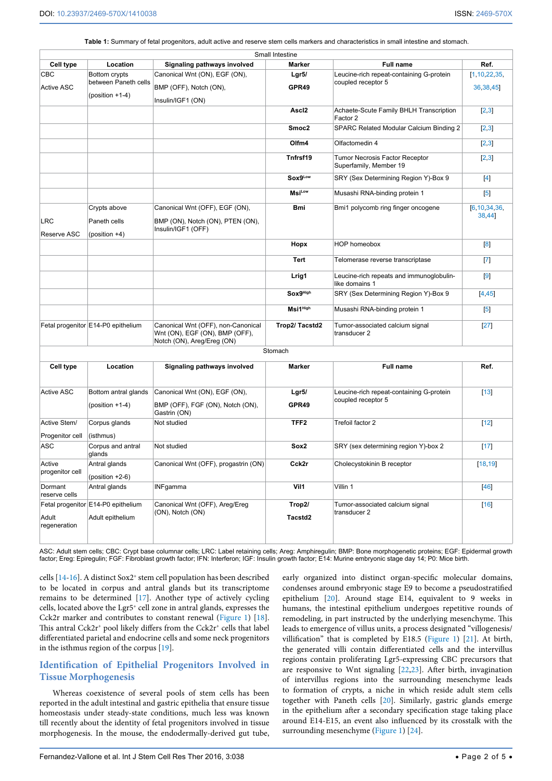<span id="page-1-0"></span>**Table 1:** Summary of fetal progenitors, adult active and reserve stem cells markers and characteristics in small intestine and stomach.

|                           |                                                            |                                                                                                    | Small Intestine           |                                                                |                             |
|---------------------------|------------------------------------------------------------|----------------------------------------------------------------------------------------------------|---------------------------|----------------------------------------------------------------|-----------------------------|
| Cell type                 | Location                                                   | Signaling pathways involved                                                                        | Marker                    | <b>Full name</b>                                               | Ref.                        |
| CBC<br><b>Active ASC</b>  | Bottom crypts<br>between Paneth cells<br>$(position +1-4)$ | Canonical Wnt (ON), EGF (ON),<br>BMP (OFF), Notch (ON),<br>Insulin/IGF1 (ON)                       | Lgr5/<br>GPR49            | Leucine-rich repeat-containing G-protein<br>coupled receptor 5 | [1, 10, 22, 35,<br>36,38,45 |
|                           |                                                            |                                                                                                    | Ascl <sub>2</sub>         | Achaete-Scute Family BHLH Transcription<br>Factor 2            | [2,3]                       |
|                           |                                                            |                                                                                                    | Smoc <sub>2</sub>         | <b>SPARC Related Modular Calcium Binding 2</b>                 | [2,3]                       |
|                           |                                                            |                                                                                                    | Olfm4                     | Olfactomedin 4                                                 | [2,3]                       |
|                           |                                                            |                                                                                                    | Tnfrsf19                  | Tumor Necrosis Factor Receptor<br>Superfamily, Member 19       | $[2,3]$                     |
|                           |                                                            |                                                                                                    | Sox9Low                   | SRY (Sex Determining Region Y)-Box 9                           | $[4]$                       |
|                           |                                                            |                                                                                                    | <b>Msi</b> <sup>Low</sup> | Musashi RNA-binding protein 1                                  | $[5]$                       |
| LRC<br>Reserve ASC        | Crypts above<br>Paneth cells<br>$(position +4)$            | Canonical Wnt (OFF), EGF (ON),<br>BMP (ON), Notch (ON), PTEN (ON),<br>Insulin/IGF1 (OFF)           | <b>Bmi</b>                | Bmi1 polycomb ring finger oncogene                             | [6, 10, 34, 36,<br>38,44    |
|                           |                                                            |                                                                                                    | Hopx                      | HOP homeobox                                                   | $^{[8]}$                    |
|                           |                                                            |                                                                                                    | <b>Tert</b>               | Telomerase reverse transcriptase                               | $\left[ 7 \right]$          |
|                           |                                                            |                                                                                                    | Lrig1                     | Leucine-rich repeats and immunoglobulin-<br>like domains 1     | $\left[9\right]$            |
|                           |                                                            |                                                                                                    | Sox9High                  | SRY (Sex Determining Region Y)-Box 9                           | [4, 45]                     |
|                           |                                                            |                                                                                                    | Msi1 <sup>High</sup>      | Musashi RNA-binding protein 1                                  | $[5]$                       |
|                           | Fetal progenitor E14-P0 epithelium                         | Canonical Wnt (OFF), non-Canonical<br>Wnt (ON), EGF (ON), BMP (OFF),<br>Notch (ON), Areg/Ereg (ON) | Trop2/Tacstd2             | Tumor-associated calcium signal<br>transducer 2                | $[27]$                      |
|                           |                                                            |                                                                                                    | Stomach                   |                                                                |                             |
| <b>Cell type</b>          | Location                                                   | Signaling pathways involved                                                                        | Marker                    | <b>Full name</b>                                               | Ref.                        |
| <b>Active ASC</b>         | Bottom antral glands                                       | Canonical Wnt (ON), EGF (ON),                                                                      | Lgr5/                     | Leucine-rich repeat-containing G-protein                       | $[13]$                      |
|                           | $(position +1-4)$                                          | BMP (OFF), FGF (ON), Notch (ON),<br>Gastrin (ON)                                                   | GPR49                     | coupled receptor 5                                             |                             |
| Active Stem/              | Corpus glands                                              | Not studied                                                                                        | TFF2                      | Trefoil factor 2                                               | $[12]$                      |
| Progenitor cell           | (isthmus)                                                  |                                                                                                    |                           |                                                                |                             |
| <b>ASC</b>                | Corpus and antral<br>glands                                | Not studied                                                                                        | Sox2                      | SRY (sex determining region Y)-box 2                           | $[17]$                      |
| Active<br>progenitor cell | Antral glands<br>$(position +2-6)$                         | Canonical Wnt (OFF), progastrin (ON)                                                               | Cck2r                     | Cholecystokinin B receptor                                     | [18, 19]                    |
| Dormant<br>reserve cells  | Antral glands                                              | <b>INFgamma</b>                                                                                    | Vil1                      | Villin 1                                                       | $[46]$                      |
| Adult<br>regeneration     | Fetal progenitor E14-P0 epithelium<br>Adult epithelium     | Canonical Wnt (OFF), Areg/Ereg<br>(ON), Notch (ON)                                                 | Trop2/<br>Tacstd2         | Tumor-associated calcium signal<br>transducer 2                | $[16]$                      |

ASC: Adult stem cells; CBC: Crypt base columnar cells; LRC: Label retaining cells; Areg: Amphiregulin; BMP: Bone morphogenetic proteins; EGF: Epidermal growth factor; Ereg: Epiregulin; FGF: Fibroblast growth factor; IFN: Interferon; IGF: Insulin growth factor; E14: Murine embryonic stage day 14; P0: Mice birth.

cells [[14](#page-3-10)-[16](#page-3-11)]. A distinct Sox2<sup>+</sup> stem cell population has been described to be located in corpus and antral glands but its transcriptome remains to be determined [\[17\]](#page-4-0). Another type of actively cycling cells, located above the Lgr5+ cell zone in antral glands, expresses the Cck2r marker and contributes to constant renewal ([Figure 1](#page-2-0)) [[18](#page-4-1)]. This antral  $Cck2r^{+}$  pool likely differs from the  $Cck2r^{+}$  cells that label differentiated parietal and endocrine cells and some neck progenitors in the isthmus region of the corpus [[19](#page-4-2)].

## **Identification of Epithelial Progenitors Involved in Tissue Morphogenesis**

Whereas coexistence of several pools of stem cells has been reported in the adult intestinal and gastric epithelia that ensure tissue homeostasis under steady-state conditions, much less was known till recently about the identity of fetal progenitors involved in tissue morphogenesis. In the mouse, the endodermally-derived gut tube,

early organized into distinct organ-specific molecular domains, condenses around embryonic stage E9 to become a pseudostratified epithelium [[20](#page-4-3)]. Around stage E14, equivalent to 9 weeks in humans, the intestinal epithelium undergoes repetitive rounds of remodeling, in part instructed by the underlying mesenchyme. This leads to emergence of villus units, a process designated "villogenesis/ villification" that is completed by E18.5 [\(Figure 1\)](#page-2-0) [[21](#page-4-4)]. At birth, the generated villi contain differentiated cells and the intervillus regions contain proliferating Lgr5-expressing CBC precursors that are responsive to Wnt signaling [[22](#page-4-5)[,23](#page-4-6)]. After birth, invagination of intervillus regions into the surrounding mesenchyme leads to formation of crypts, a niche in which reside adult stem cells together with Paneth cells [[20\]](#page-4-3). Similarly, gastric glands emerge in the epithelium after a secondary specification stage taking place around E14-E15, an event also influenced by its crosstalk with the surrounding mesenchyme [\(Figure 1](#page-2-0)) [\[24](#page-4-7)].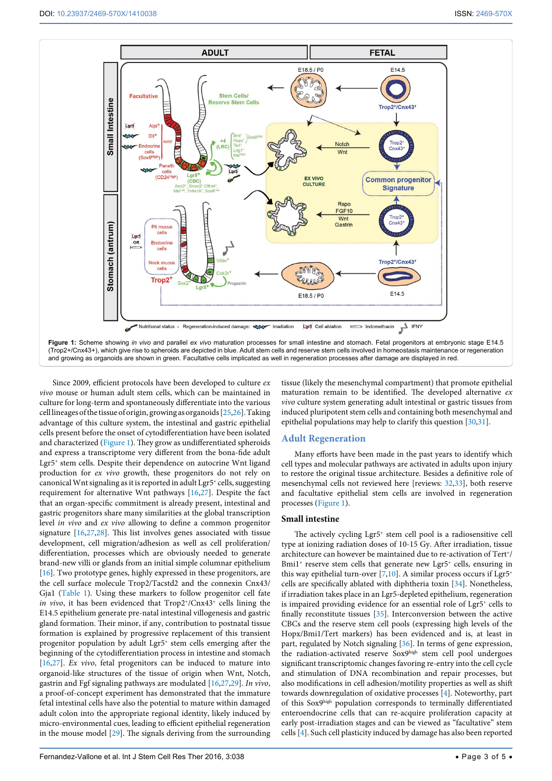<span id="page-2-0"></span>

Since 2009, efficient protocols have been developed to culture *ex vivo* mouse or human adult stem cells, which can be maintained in culture for long-term and spontaneously differentiate into the various cell lineages of the tissue of origin, growing as organoids [[25](#page-4-16)[,26\]](#page-4-17). Taking advantage of this culture system, the intestinal and gastric epithelial cells present before the onset of cytodifferentiation have been isolated and characterized [\(Figure 1\)](#page-2-0). They grow as undifferentiated spheroids and express a transcriptome very different from the bona-fide adult Lgr5+ stem cells. Despite their dependence on autocrine Wnt ligand production for *ex vivo* growth, these progenitors do not rely on canonical Wnt signaling as it is reported in adult Lgr5+ cells, suggesting requirement for alternative Wnt pathways [[16](#page-3-11)[,27\]](#page-4-14). Despite the fact that an organ-specific commitment is already present, intestinal and gastric progenitors share many similarities at the global transcription level *in vivo* and *ex vivo* allowing to define a common progenitor signature [[16](#page-3-11)[,27](#page-4-14)[,28\]](#page-4-18). This list involves genes associated with tissue development, cell migration/adhesion as well as cell proliferation/ differentiation, processes which are obviously needed to generate brand-new villi or glands from an initial simple columnar epithelium [[16](#page-3-11)]. Two prototype genes, highly expressed in these progenitors, are the cell surface molecule Trop2/Tacstd2 and the connexin Cnx43/ Gja1 [\(Table 1](#page-1-0)). Using these markers to follow progenitor cell fate *in vivo*, it has been evidenced that Trop2<sup>+</sup>/Cnx43<sup>+</sup> cells lining the E14.5 epithelium generate pre-natal intestinal villogenesis and gastric gland formation. Their minor, if any, contribution to postnatal tissue formation is explained by progressive replacement of this transient progenitor population by adult Lgr5+ stem cells emerging after the beginning of the cytodifferentiation process in intestine and stomach [[16](#page-3-11)[,27\]](#page-4-14). *Ex vivo*, fetal progenitors can be induced to mature into organoid-like structures of the tissue of origin when Wnt, Notch, gastrin and Fgf signaling pathways are modulated [[16](#page-3-11)[,27,](#page-4-14)[29\]](#page-4-19). *In vivo*, a proof-of-concept experiment has demonstrated that the immature fetal intestinal cells have also the potential to mature within damaged adult colon into the appropriate regional identity, likely induced by micro-environmental cues, leading to efficient epithelial regeneration in the mouse model [[29](#page-4-19)]. The signals deriving from the surrounding tissue (likely the mesenchymal compartment) that promote epithelial maturation remain to be identified. The developed alternative *ex vivo* culture system generating adult intestinal or gastric tissues from induced pluripotent stem cells and containing both mesenchymal and epithelial populations may help to clarify this question [[30](#page-4-20)[,31](#page-4-21)].

## **Adult Regeneration**

Many efforts have been made in the past years to identify which cell types and molecular pathways are activated in adults upon injury to restore the original tissue architecture. Besides a definitive role of mesenchymal cells not reviewed here [reviews: [32](#page-4-22)[,33](#page-4-23)], both reserve and facultative epithelial stem cells are involved in regeneration processes ([Figure 1](#page-2-0)).

### **Small intestine**

The actively cycling Lgr5<sup>+</sup> stem cell pool is a radiosensitive cell type at ionizing radiation doses of 10-15 Gy. After irradiation, tissue architecture can however be maintained due to re-activation of Tert<sup>+</sup>/ Bmi1<sup>+</sup> reserve stem cells that generate new Lgr5<sup>+</sup> cells, ensuring in this way epithelial turn-over  $[7,10]$  $[7,10]$  $[7,10]$ . A similar process occurs if Lgr5<sup>+</sup> cells are specifically ablated with diphtheria toxin [\[34\]](#page-4-12). Nonetheless, if irradiation takes place in an Lgr5-depleted epithelium, regeneration is impaired providing evidence for an essential role of Lgr5<sup>+</sup> cells to finally reconstitute tissues [[35](#page-4-8)]. Interconversion between the active CBCs and the reserve stem cell pools (expressing high levels of the Hopx/Bmi1/Tert markers) has been evidenced and is, at least in part, regulated by Notch signaling [[36](#page-4-9)]. In terms of gene expression, the radiation-activated reserve Sox9high stem cell pool undergoes significant transcriptomic changes favoring re-entry into the cell cycle and stimulation of DNA recombination and repair processes, but also modifications in cell adhesion/motility properties as well as shift towards downregulation of oxidative processes [\[4\]](#page-3-3). Noteworthy, part of this Sox9high population corresponds to terminally differentiated enteroendocrine cells that can re-acquire proliferation capacity at early post-irradiation stages and can be viewed as "facultative" stem cells [[4](#page-3-3)]. Such cell plasticity induced by damage has also been reported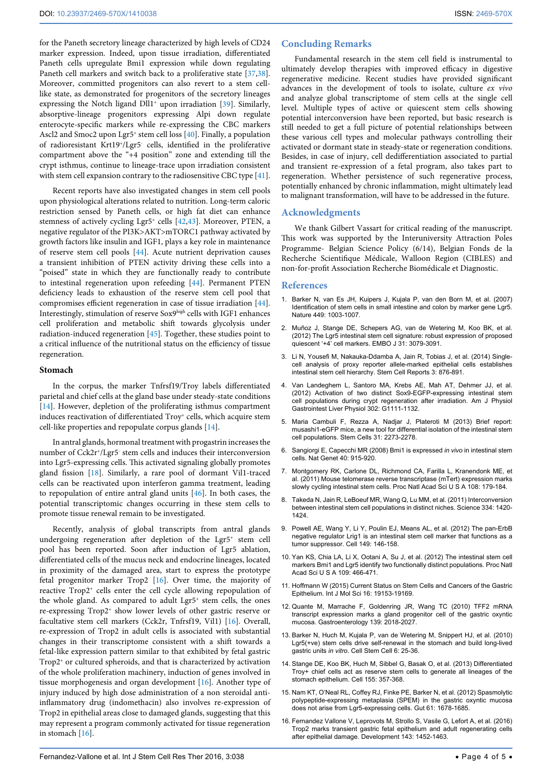for the Paneth secretory lineage characterized by high levels of CD24 marker expression. Indeed, upon tissue irradiation, differentiated Paneth cells upregulate Bmi1 expression while down regulating Paneth cell markers and switch back to a proliferative state [\[37,](#page-4-24)[38](#page-4-10)]. Moreover, committed progenitors can also revert to a stem celllike state, as demonstrated for progenitors of the secretory lineages expressing the Notch ligand Dll1<sup>+</sup> upon irradiation [\[39\]](#page-4-25). Similarly, absorptive-lineage progenitors expressing Alpi down regulate enterocyte-specific markers while re-expressing the CBC markers Ascl2 and Smoc2 upon Lgr5<sup>+</sup> stem cell loss [\[40\]](#page-4-26). Finally, a population of radioresistant Krt19+/Lgr5- cells, identified in the proliferative compartment above the "+4 position" zone and extending till the crypt isthmus, continue to lineage-trace upon irradiation consistent with stem cell expansion contrary to the radiosensitive CBC type [[41](#page-4-27)].

Recent reports have also investigated changes in stem cell pools upon physiological alterations related to nutrition. Long-term caloric restriction sensed by Paneth cells, or high fat diet can enhance stemness of actively cycling Lgr5+ cells [[42](#page-4-28),[43](#page-4-29)]. Moreover, PTEN, a negative regulator of the PI3K>AKT>mTORC1 pathway activated by growth factors like insulin and IGF1, plays a key role in maintenance of reserve stem cell pools [[44](#page-4-13)]. Acute nutrient deprivation causes a transient inhibition of PTEN activity driving these cells into a "poised" state in which they are functionally ready to contribute to intestinal regeneration upon refeeding [[44](#page-4-13)]. Permanent PTEN deficiency leads to exhaustion of the reserve stem cell pool that compromises efficient regeneration in case of tissue irradiation [[44](#page-4-13)]. Interestingly, stimulation of reserve Sox9high cells with IGF1 enhances cell proliferation and metabolic shift towards glycolysis under radiation-induced regeneration [\[45](#page-4-11)]. Together, these studies point to a critical influence of the nutritional status on the efficiency of tissue regeneration.

#### **Stomach**

In the corpus, the marker Tnfrsf19/Troy labels differentiated parietal and chief cells at the gland base under steady-state conditions [[14](#page-3-10)]. However, depletion of the proliferating isthmus compartment induces reactivation of differentiated Troy<sup>+</sup> cells, which acquire stem cell-like properties and repopulate corpus glands [\[14](#page-3-10)].

In antral glands, hormonal treatment with progastrin increases the number of Cck2r+/Lgr5- stem cells and induces their interconversion into Lgr5-expressing cells. This activated signaling globally promotes gland fission [[18\]](#page-4-1). Similarly, a rare pool of dormant Vil1-traced cells can be reactivated upon interferon gamma treatment, leading to repopulation of entire antral gland units [\[46\]](#page-4-15). In both cases, the potential transcriptomic changes occurring in these stem cells to promote tissue renewal remain to be investigated.

Recently, analysis of global transcripts from antral glands undergoing regeneration after depletion of the Lgr5+ stem cell pool has been reported. Soon after induction of Lgr5 ablation, differentiated cells of the mucus neck and endocrine lineages, located in proximity of the damaged area, start to express the prototype fetal progenitor marker Trop2 [[16](#page-3-11)]. Over time, the majority of reactive Trop2<sup>+</sup> cells enter the cell cycle allowing repopulation of the whole gland. As compared to adult Lgr5<sup>+</sup> stem cells, the ones re-expressing Trop2+ show lower levels of other gastric reserve or facultative stem cell markers (Cck2r, Tnfrsf19, Vil1) [[16](#page-3-11)]. Overall, re-expression of Trop2 in adult cells is associated with substantial changes in their transcriptome consistent with a shift towards a fetal-like expression pattern similar to that exhibited by fetal gastric  $\mathop{\mathrm{Trop}}\nolimits2^*$  or cultured spheroids, and that is characterized by activation of the whole proliferation machinery, induction of genes involved in tissue morphogenesis and organ development [[16](#page-3-11)]. Another type of injury induced by high dose administration of a non steroidal antiinflammatory drug (indomethacin) also involves re-expression of Trop2 in epithelial areas close to damaged glands, suggesting that this may represent a program commonly activated for tissue regeneration in stomach [[16](#page-3-11)].

#### **Concluding Remarks**

Fundamental research in the stem cell field is instrumental to ultimately develop therapies with improved efficacy in digestive regenerative medicine. Recent studies have provided significant advances in the development of tools to isolate, culture *ex vivo* and analyze global transcriptome of stem cells at the single cell level. Multiple types of active or quiescent stem cells showing potential interconversion have been reported, but basic research is still needed to get a full picture of potential relationships between these various cell types and molecular pathways controlling their activated or dormant state in steady-state or regeneration conditions. Besides, in case of injury, cell dedifferentiation associated to partial and transient re-expression of a fetal program, also takes part to regeneration. Whether persistence of such regenerative process, potentially enhanced by chronic inflammation, might ultimately lead to malignant transformation, will have to be addressed in the future.

#### **Acknowledgments**

We thank Gilbert Vassart for critical reading of the manuscript. This work was supported by the Interuniversity Attraction Poles Programme- Belgian Science Policy (6/14), Belgian Fonds de la Recherche Scientifique Médicale, Walloon Region (CIBLES) and non-for-profit Association Recherche Biomédicale et Diagnostic.

#### **References**

- <span id="page-3-9"></span>1. [Barker N, van Es JH, Kuipers J, Kujala P, van den Born M, et al. \(2007\)](http://www.ncbi.nlm.nih.gov/pubmed/17934449)  [Identification of stem cells in small intestine and colon by marker gene Lgr5.](http://www.ncbi.nlm.nih.gov/pubmed/17934449)  [Nature 449: 1003-1007.](http://www.ncbi.nlm.nih.gov/pubmed/17934449)
- <span id="page-3-0"></span>2. [Muñoz J, Stange DE, Schepers AG, van de Wetering M, Koo BK, et al.](http://www.ncbi.nlm.nih.gov/pubmed/22692129)  [\(2012\) The Lgr5 intestinal stem cell signature: robust expression of proposed](http://www.ncbi.nlm.nih.gov/pubmed/22692129)  [quiescent '+4' cell markers. EMBO J 31: 3079-3091.](http://www.ncbi.nlm.nih.gov/pubmed/22692129)
- <span id="page-3-4"></span>3. [Li N, Yousefi M, Nakauka-Ddamba A, Jain R, Tobias J, et al. \(2014\) Single](http://www.ncbi.nlm.nih.gov/pubmed/25418730)[cell analysis of proxy reporter allele-marked epithelial cells establishes](http://www.ncbi.nlm.nih.gov/pubmed/25418730)  [intestinal stem cell hierarchy. Stem Cell Reports 3: 876-891.](http://www.ncbi.nlm.nih.gov/pubmed/25418730)
- <span id="page-3-3"></span>4. [Van Landeghem L, Santoro MA, Krebs AE, Mah AT, Dehmer JJ, et al.](http://www.ncbi.nlm.nih.gov/pubmed/22361729)  [\(2012\) Activation of two distinct Sox9-EGFP-expressing intestinal stem](http://www.ncbi.nlm.nih.gov/pubmed/22361729)  [cell populations during crypt regeneration after irradiation. Am J Physiol](http://www.ncbi.nlm.nih.gov/pubmed/22361729)  [Gastrointest Liver Physiol 302: G1111-1132.](http://www.ncbi.nlm.nih.gov/pubmed/22361729)
- <span id="page-3-1"></span>5. [Maria Cambuli F, Rezza A, Nadjar J, Plateroti M \(2013\) Brief report:](http://www.ncbi.nlm.nih.gov/pubmed/23712573)  [musashi1-eGFP mice, a new tool for differential isolation of the intestinal stem](http://www.ncbi.nlm.nih.gov/pubmed/23712573)  [cell populations. Stem Cells 31: 2273-2278.](http://www.ncbi.nlm.nih.gov/pubmed/23712573)
- <span id="page-3-12"></span>6. [Sangiorgi E, Capecchi MR \(2008\) Bmi1 is expressed](http://www.ncbi.nlm.nih.gov/pubmed/18536716) *in vivo* in intestinal stem [cells. Nat Genet 40: 915-920.](http://www.ncbi.nlm.nih.gov/pubmed/18536716)
- <span id="page-3-14"></span>7. [Montgomery RK, Carlone DL, Richmond CA, Farilla L, Kranendonk ME, et](http://www.ncbi.nlm.nih.gov/pubmed/21173232)  [al. \(2011\) Mouse telomerase reverse transcriptase \(mTert\) expression marks](http://www.ncbi.nlm.nih.gov/pubmed/21173232)  [slowly cycling intestinal stem cells. Proc Natl Acad Sci U S A 108: 179-184.](http://www.ncbi.nlm.nih.gov/pubmed/21173232)
- <span id="page-3-13"></span>8. [Takeda N, Jain R, LeBoeuf MR, Wang Q, Lu MM, et al. \(2011\) Interconversion](http://www.ncbi.nlm.nih.gov/pubmed/22075725)  [between intestinal stem cell populations in distinct niches. Science 334: 1420-](http://www.ncbi.nlm.nih.gov/pubmed/22075725) [1424.](http://www.ncbi.nlm.nih.gov/pubmed/22075725)
- <span id="page-3-2"></span>9. [Powell AE, Wang Y, Li Y, Poulin EJ, Means AL, et al. \(2012\) The pan-ErbB](http://www.ncbi.nlm.nih.gov/pubmed/22464327)  [negative regulator Lrig1 is an intestinal stem cell marker that functions as a](http://www.ncbi.nlm.nih.gov/pubmed/22464327)  [tumor suppressor. Cell 149: 146-158.](http://www.ncbi.nlm.nih.gov/pubmed/22464327)
- <span id="page-3-5"></span>10. [Yan KS, Chia LA, Li X, Ootani A, Su J, et al. \(2012\) The intestinal stem cell](http://www.ncbi.nlm.nih.gov/pubmed/22190486)  [markers Bmi1 and Lgr5 identify two functionally distinct populations. Proc Natl](http://www.ncbi.nlm.nih.gov/pubmed/22190486)  [Acad Sci U S A 109: 466-471.](http://www.ncbi.nlm.nih.gov/pubmed/22190486)
- <span id="page-3-6"></span>11. [Hoffmann W \(2015\) Current Status on Stem Cells and Cancers of the Gastric](http://www.ncbi.nlm.nih.gov/pubmed/26287172)  [Epithelium. Int J Mol Sci 16: 19153-19169.](http://www.ncbi.nlm.nih.gov/pubmed/26287172)
- <span id="page-3-7"></span>12. [Quante M, Marrache F, Goldenring JR, Wang TC \(2010\) TFF2 mRNA](http://www.ncbi.nlm.nih.gov/pubmed/20708616)  [transcript expression marks a gland progenitor cell of the gastric oxyntic](http://www.ncbi.nlm.nih.gov/pubmed/20708616)  [mucosa. Gastroenterology 139: 2018-2027.](http://www.ncbi.nlm.nih.gov/pubmed/20708616)
- <span id="page-3-8"></span>13. [Barker N, Huch M, Kujala P, van de Wetering M, Snippert HJ, et al. \(2010\)](http://www.ncbi.nlm.nih.gov/pubmed/20085740)  [Lgr5\(+ve\) stem cells drive self-renewal in the stomach and build long-lived](http://www.ncbi.nlm.nih.gov/pubmed/20085740)  gastric units *in vitro*[. Cell Stem Cell 6: 25-36.](http://www.ncbi.nlm.nih.gov/pubmed/20085740)
- <span id="page-3-10"></span>14. [Stange DE, Koo BK, Huch M, Sibbel G, Basak O, et al. \(2013\) Differentiated](http://www.ncbi.nlm.nih.gov/pubmed/24120136)  [Troy+ chief cells act as reserve stem cells to generate all lineages of the](http://www.ncbi.nlm.nih.gov/pubmed/24120136)  [stomach epithelium. Cell 155: 357-368.](http://www.ncbi.nlm.nih.gov/pubmed/24120136)
- 15. [Nam KT, O'Neal RL, Coffey RJ, Finke PE, Barker N, et al. \(2012\) Spasmolytic](http://www.ncbi.nlm.nih.gov/pubmed/22198711)  [polypeptide-expressing metaplasia \(SPEM\) in the gastric oxyntic mucosa](http://www.ncbi.nlm.nih.gov/pubmed/22198711)  [does not arise from Lgr5-expressing cells. Gut 61: 1678-1685.](http://www.ncbi.nlm.nih.gov/pubmed/22198711)
- <span id="page-3-11"></span>16. [Fernandez Vallone V, Leprovots M, Strollo S, Vasile G, Lefort A, et al. \(2016\)](http://www.ncbi.nlm.nih.gov/pubmed/26989172)  [Trop2 marks transient gastric fetal epithelium and adult regenerating cells](http://www.ncbi.nlm.nih.gov/pubmed/26989172)  [after epithelial damage. Development 143: 1452-1463.](http://www.ncbi.nlm.nih.gov/pubmed/26989172)